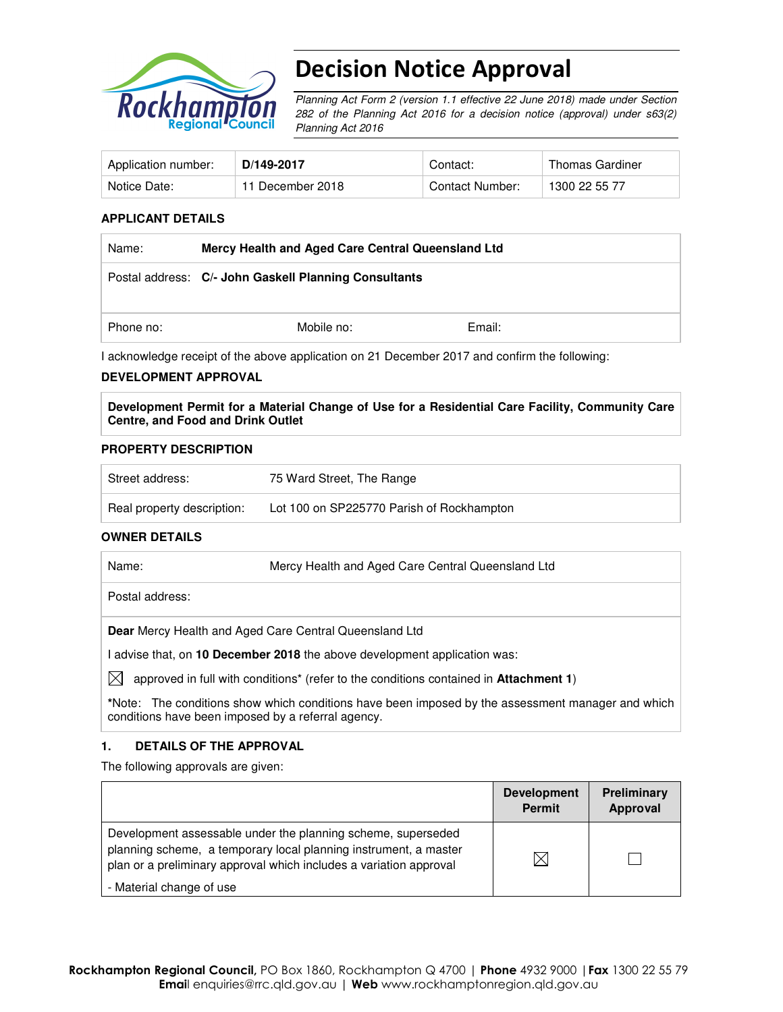

# Decision Notice Approval

Planning Act Form 2 (version 1.1 effective 22 June 2018) made under Section 282 of the Planning Act 2016 for a decision notice (approval) under s63(2) Planning Act 2016

| Application number: | D/149-2017       | Contact:        | Thomas Gardiner |
|---------------------|------------------|-----------------|-----------------|
| Notice Date:        | 11 December 2018 | Contact Number: | 1300 22 55 77   |

#### **APPLICANT DETAILS**

| Name:     | Mercy Health and Aged Care Central Queensland Ltd     |        |  |
|-----------|-------------------------------------------------------|--------|--|
|           | Postal address: C/- John Gaskell Planning Consultants |        |  |
| Phone no: | Mobile no:                                            | Email: |  |

I acknowledge receipt of the above application on 21 December 2017 and confirm the following:

#### **DEVELOPMENT APPROVAL**

**Development Permit for a Material Change of Use for a Residential Care Facility, Community Care Centre, and Food and Drink Outlet** 

#### **PROPERTY DESCRIPTION**

| Street address:            | 75 Ward Street, The Range                 |
|----------------------------|-------------------------------------------|
| Real property description: | Lot 100 on SP225770 Parish of Rockhampton |

#### **OWNER DETAILS**

| Name: | Mercy Health and Aged Care Central Queensland Ltd |  |
|-------|---------------------------------------------------|--|
|-------|---------------------------------------------------|--|

Postal address:

**Dear** Mercy Health and Aged Care Central Queensland Ltd

I advise that, on **10 December 2018** the above development application was:

 $\boxtimes$  approved in full with conditions<sup>\*</sup> (refer to the conditions contained in **Attachment 1**)

**\***Note:The conditions show which conditions have been imposed by the assessment manager and which conditions have been imposed by a referral agency.

#### **1. DETAILS OF THE APPROVAL**

The following approvals are given:

|                                                                                                                                                                                                        | <b>Development</b><br>Permit | Preliminary<br>Approval |
|--------------------------------------------------------------------------------------------------------------------------------------------------------------------------------------------------------|------------------------------|-------------------------|
| Development assessable under the planning scheme, superseded<br>planning scheme, a temporary local planning instrument, a master<br>plan or a preliminary approval which includes a variation approval | ⋉                            |                         |
| - Material change of use                                                                                                                                                                               |                              |                         |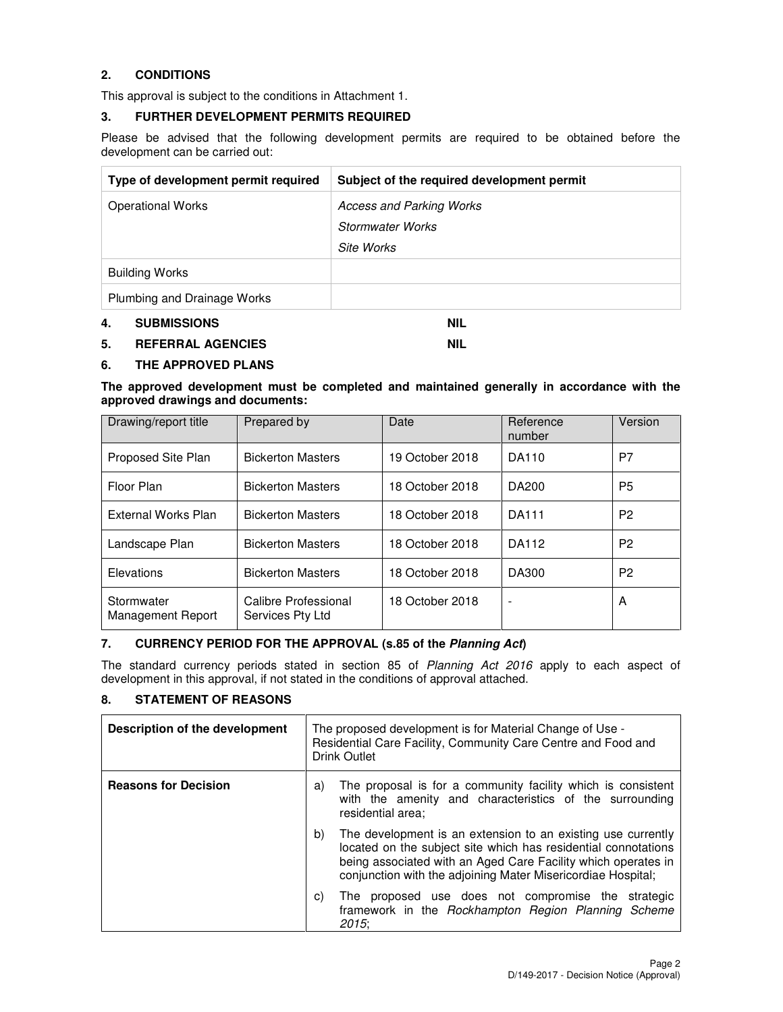# **2. CONDITIONS**

This approval is subject to the conditions in Attachment 1.

#### **3. FURTHER DEVELOPMENT PERMITS REQUIRED**

Please be advised that the following development permits are required to be obtained before the development can be carried out:

| Type of development permit required | Subject of the required development permit |
|-------------------------------------|--------------------------------------------|
| <b>Operational Works</b>            | <b>Access and Parking Works</b>            |
|                                     | <b>Stormwater Works</b>                    |
|                                     | Site Works                                 |
| <b>Building Works</b>               |                                            |
| Plumbing and Drainage Works         |                                            |

#### **4. SUBMISSIONS NIL**

#### **5. REFERRAL AGENCIES NIL**

# **6. THE APPROVED PLANS**

**The approved development must be completed and maintained generally in accordance with the approved drawings and documents:** 

| Drawing/report title            | Prepared by                              | Date            | Reference<br>number      | Version        |
|---------------------------------|------------------------------------------|-----------------|--------------------------|----------------|
| <b>Proposed Site Plan</b>       | <b>Bickerton Masters</b>                 | 19 October 2018 | DA110                    | P7             |
| Floor Plan                      | <b>Bickerton Masters</b>                 | 18 October 2018 | DA200                    | P <sub>5</sub> |
| External Works Plan             | <b>Bickerton Masters</b>                 | 18 October 2018 | <b>DA111</b>             | P <sub>2</sub> |
| Landscape Plan                  | <b>Bickerton Masters</b>                 | 18 October 2018 | DA112                    | P <sub>2</sub> |
| Elevations                      | <b>Bickerton Masters</b>                 | 18 October 2018 | DA300                    | P <sub>2</sub> |
| Stormwater<br>Management Report | Calibre Professional<br>Services Pty Ltd | 18 October 2018 | $\overline{\phantom{a}}$ | A              |

### **7. CURRENCY PERIOD FOR THE APPROVAL (s.85 of the Planning Act)**

The standard currency periods stated in section 85 of Planning Act 2016 apply to each aspect of development in this approval, if not stated in the conditions of approval attached.

#### **8. STATEMENT OF REASONS**

| Description of the development | The proposed development is for Material Change of Use -<br>Residential Care Facility, Community Care Centre and Food and<br>Drink Outlet                                                                                                                             |  |
|--------------------------------|-----------------------------------------------------------------------------------------------------------------------------------------------------------------------------------------------------------------------------------------------------------------------|--|
| <b>Reasons for Decision</b>    | The proposal is for a community facility which is consistent<br>a)<br>with the amenity and characteristics of the surrounding<br>residential area:                                                                                                                    |  |
|                                | The development is an extension to an existing use currently<br>b)<br>located on the subject site which has residential connotations<br>being associated with an Aged Care Facility which operates in<br>conjunction with the adjoining Mater Misericordiae Hospital; |  |
|                                | The proposed use does not compromise the strategic<br>C)<br>framework in the Rockhampton Region Planning Scheme<br>2015:                                                                                                                                              |  |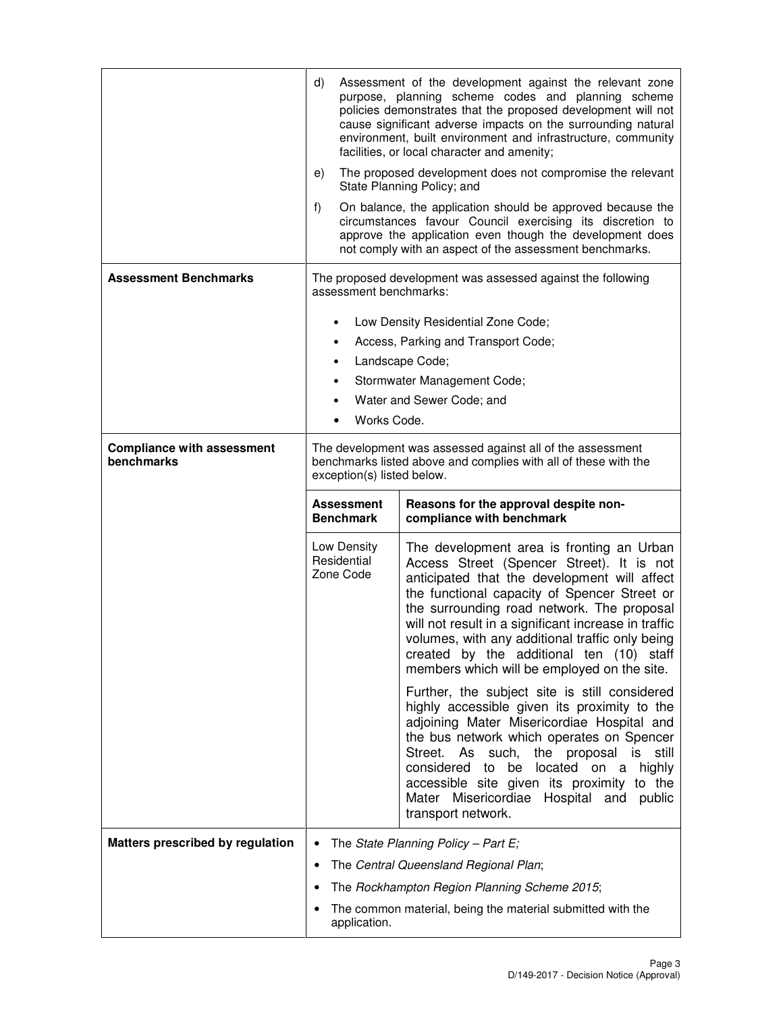|                                                 | d)<br>Assessment of the development against the relevant zone<br>purpose, planning scheme codes and planning scheme<br>policies demonstrates that the proposed development will not<br>cause significant adverse impacts on the surrounding natural<br>environment, built environment and infrastructure, community<br>facilities, or local character and amenity;<br>The proposed development does not compromise the relevant<br>e)<br>State Planning Policy; and<br>f)<br>On balance, the application should be approved because the<br>circumstances favour Council exercising its discretion to |                                                                                                                                                                                                                                                                                                                                                                                                                |  |
|-------------------------------------------------|------------------------------------------------------------------------------------------------------------------------------------------------------------------------------------------------------------------------------------------------------------------------------------------------------------------------------------------------------------------------------------------------------------------------------------------------------------------------------------------------------------------------------------------------------------------------------------------------------|----------------------------------------------------------------------------------------------------------------------------------------------------------------------------------------------------------------------------------------------------------------------------------------------------------------------------------------------------------------------------------------------------------------|--|
|                                                 |                                                                                                                                                                                                                                                                                                                                                                                                                                                                                                                                                                                                      | approve the application even though the development does<br>not comply with an aspect of the assessment benchmarks.                                                                                                                                                                                                                                                                                            |  |
| <b>Assessment Benchmarks</b>                    | The proposed development was assessed against the following<br>assessment benchmarks:                                                                                                                                                                                                                                                                                                                                                                                                                                                                                                                |                                                                                                                                                                                                                                                                                                                                                                                                                |  |
|                                                 | $\bullet$                                                                                                                                                                                                                                                                                                                                                                                                                                                                                                                                                                                            | Low Density Residential Zone Code;                                                                                                                                                                                                                                                                                                                                                                             |  |
|                                                 |                                                                                                                                                                                                                                                                                                                                                                                                                                                                                                                                                                                                      | Access, Parking and Transport Code;                                                                                                                                                                                                                                                                                                                                                                            |  |
|                                                 | $\bullet$                                                                                                                                                                                                                                                                                                                                                                                                                                                                                                                                                                                            | Landscape Code;                                                                                                                                                                                                                                                                                                                                                                                                |  |
|                                                 |                                                                                                                                                                                                                                                                                                                                                                                                                                                                                                                                                                                                      | Stormwater Management Code;                                                                                                                                                                                                                                                                                                                                                                                    |  |
|                                                 |                                                                                                                                                                                                                                                                                                                                                                                                                                                                                                                                                                                                      | Water and Sewer Code; and                                                                                                                                                                                                                                                                                                                                                                                      |  |
|                                                 | Works Code.                                                                                                                                                                                                                                                                                                                                                                                                                                                                                                                                                                                          |                                                                                                                                                                                                                                                                                                                                                                                                                |  |
| <b>Compliance with assessment</b><br>benchmarks | The development was assessed against all of the assessment<br>benchmarks listed above and complies with all of these with the<br>exception(s) listed below.                                                                                                                                                                                                                                                                                                                                                                                                                                          |                                                                                                                                                                                                                                                                                                                                                                                                                |  |
|                                                 | <b>Assessment</b><br><b>Benchmark</b>                                                                                                                                                                                                                                                                                                                                                                                                                                                                                                                                                                | Reasons for the approval despite non-<br>compliance with benchmark                                                                                                                                                                                                                                                                                                                                             |  |
|                                                 | Low Density<br>Residential<br>Zone Code                                                                                                                                                                                                                                                                                                                                                                                                                                                                                                                                                              | The development area is fronting an Urban<br>Access Street (Spencer Street). It is not<br>anticipated that the development will affect<br>the functional capacity of Spencer Street or                                                                                                                                                                                                                         |  |
|                                                 |                                                                                                                                                                                                                                                                                                                                                                                                                                                                                                                                                                                                      | the surrounding road network. The proposal<br>will not result in a significant increase in traffic<br>volumes, with any additional traffic only being<br>created by the additional ten (10) staff<br>members which will be employed on the site.                                                                                                                                                               |  |
|                                                 |                                                                                                                                                                                                                                                                                                                                                                                                                                                                                                                                                                                                      | Further, the subject site is still considered<br>highly accessible given its proximity to the<br>adjoining Mater Misericordiae Hospital and<br>the bus network which operates on Spencer<br>Street. As such,<br>the proposal<br>is<br>still<br>considered to<br>located on a<br>be<br>highly<br>accessible site given its proximity to the<br>Mater Misericordiae Hospital and<br>public<br>transport network. |  |
| Matters prescribed by regulation                |                                                                                                                                                                                                                                                                                                                                                                                                                                                                                                                                                                                                      | The State Planning Policy - Part E;                                                                                                                                                                                                                                                                                                                                                                            |  |
|                                                 |                                                                                                                                                                                                                                                                                                                                                                                                                                                                                                                                                                                                      | The Central Queensland Regional Plan;                                                                                                                                                                                                                                                                                                                                                                          |  |
|                                                 |                                                                                                                                                                                                                                                                                                                                                                                                                                                                                                                                                                                                      | The Rockhampton Region Planning Scheme 2015;                                                                                                                                                                                                                                                                                                                                                                   |  |
|                                                 |                                                                                                                                                                                                                                                                                                                                                                                                                                                                                                                                                                                                      | The common material, being the material submitted with the                                                                                                                                                                                                                                                                                                                                                     |  |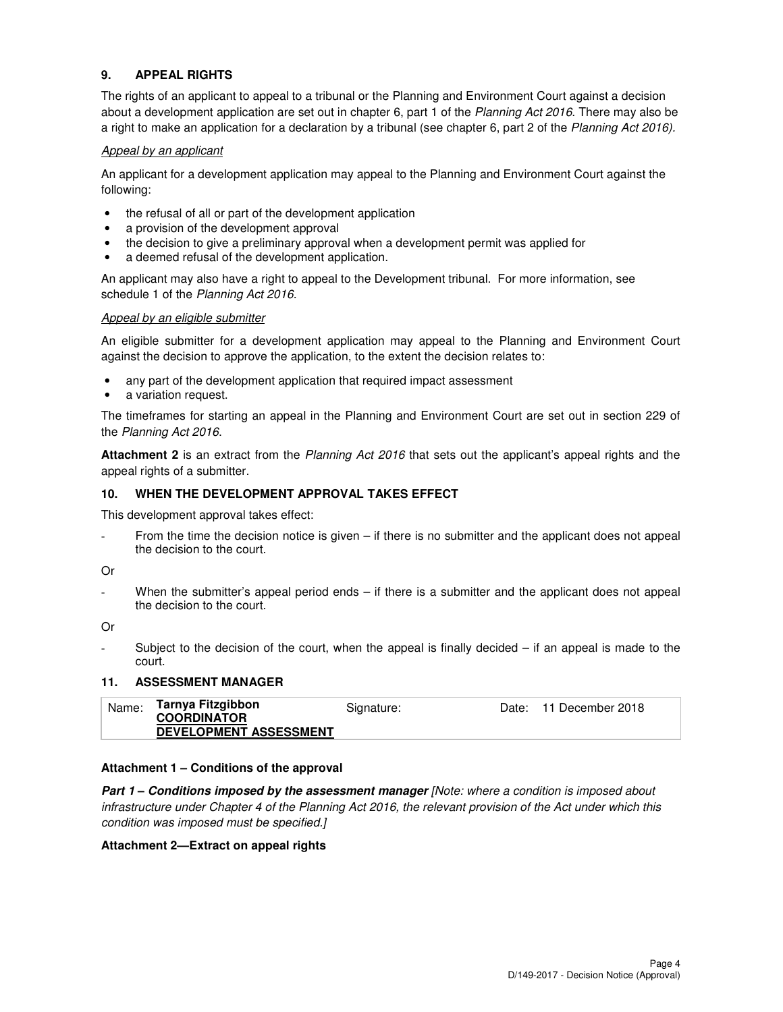# **9. APPEAL RIGHTS**

The rights of an applicant to appeal to a tribunal or the Planning and Environment Court against a decision about a development application are set out in chapter 6, part 1 of the Planning Act 2016. There may also be a right to make an application for a declaration by a tribunal (see chapter 6, part 2 of the Planning Act 2016).

#### Appeal by an applicant

An applicant for a development application may appeal to the Planning and Environment Court against the following:

- the refusal of all or part of the development application
- a provision of the development approval
- the decision to give a preliminary approval when a development permit was applied for
- a deemed refusal of the development application.

An applicant may also have a right to appeal to the Development tribunal. For more information, see schedule 1 of the Planning Act 2016.

#### Appeal by an eligible submitter

An eligible submitter for a development application may appeal to the Planning and Environment Court against the decision to approve the application, to the extent the decision relates to:

- any part of the development application that required impact assessment
- a variation request.

The timeframes for starting an appeal in the Planning and Environment Court are set out in section 229 of the Planning Act 2016.

**Attachment 2** is an extract from the Planning Act 2016 that sets out the applicant's appeal rights and the appeal rights of a submitter.

#### **10. WHEN THE DEVELOPMENT APPROVAL TAKES EFFECT**

This development approval takes effect:

From the time the decision notice is given – if there is no submitter and the applicant does not appeal the decision to the court.

#### Or

When the submitter's appeal period ends – if there is a submitter and the applicant does not appeal the decision to the court.

Or

Subject to the decision of the court, when the appeal is finally decided  $-$  if an appeal is made to the court.

### **11. ASSESSMENT MANAGER**

| Name: | Tarnya Fitzgibbon             | Signature: | Date: 11 December 2018 |
|-------|-------------------------------|------------|------------------------|
|       | <b>COORDINATOR</b>            |            |                        |
|       | <b>DEVELOPMENT ASSESSMENT</b> |            |                        |

#### **Attachment 1 – Conditions of the approval**

**Part 1 – Conditions imposed by the assessment manager** [Note: where a condition is imposed about infrastructure under Chapter 4 of the Planning Act 2016, the relevant provision of the Act under which this condition was imposed must be specified.]

#### **Attachment 2—Extract on appeal rights**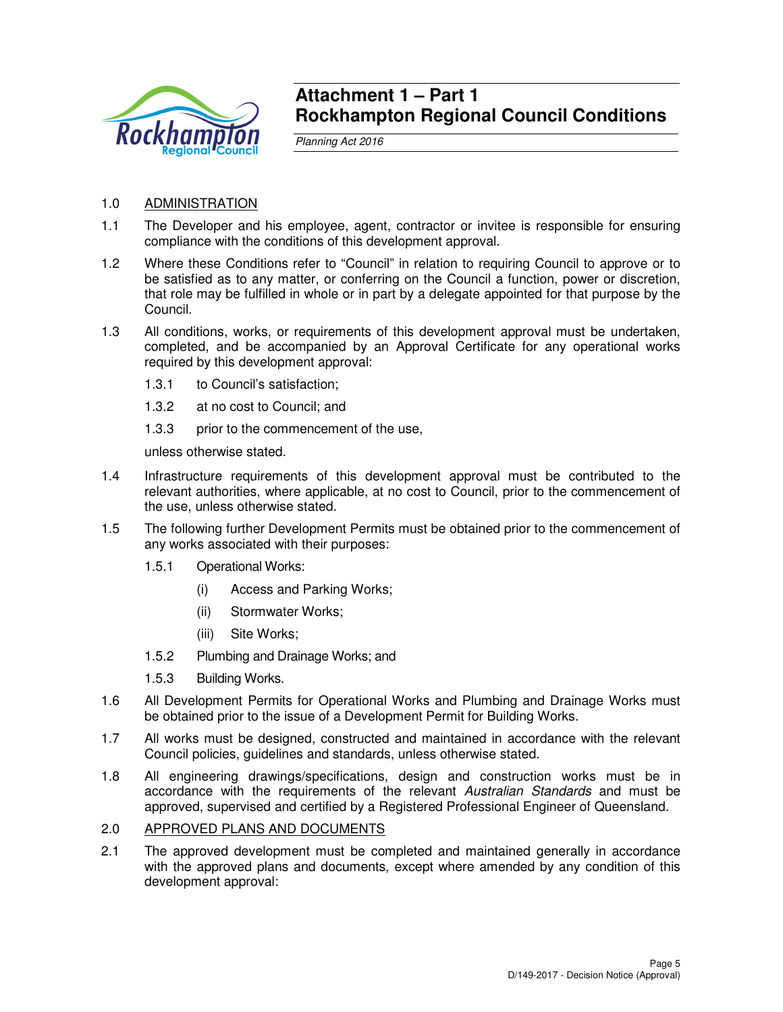

# **Attachment 1 – Part 1 Rockhampton Regional Council Conditions**

Planning Act 2016

# 1.0 ADMINISTRATION

- 1.1 The Developer and his employee, agent, contractor or invitee is responsible for ensuring compliance with the conditions of this development approval.
- 1.2 Where these Conditions refer to "Council" in relation to requiring Council to approve or to be satisfied as to any matter, or conferring on the Council a function, power or discretion, that role may be fulfilled in whole or in part by a delegate appointed for that purpose by the Council.
- 1.3 All conditions, works, or requirements of this development approval must be undertaken, completed, and be accompanied by an Approval Certificate for any operational works required by this development approval:
	- 1.3.1 to Council's satisfaction;
	- 1.3.2 at no cost to Council; and
	- 1.3.3 prior to the commencement of the use,

unless otherwise stated.

- 1.4 Infrastructure requirements of this development approval must be contributed to the relevant authorities, where applicable, at no cost to Council, prior to the commencement of the use, unless otherwise stated.
- 1.5 The following further Development Permits must be obtained prior to the commencement of any works associated with their purposes:
	- 1.5.1 Operational Works:
		- (i) Access and Parking Works;
		- (ii) Stormwater Works;
		- (iii) Site Works;
	- 1.5.2 Plumbing and Drainage Works; and
	- 1.5.3 Building Works.
- 1.6 All Development Permits for Operational Works and Plumbing and Drainage Works must be obtained prior to the issue of a Development Permit for Building Works.
- 1.7 All works must be designed, constructed and maintained in accordance with the relevant Council policies, guidelines and standards, unless otherwise stated.
- 1.8 All engineering drawings/specifications, design and construction works must be in accordance with the requirements of the relevant Australian Standards and must be approved, supervised and certified by a Registered Professional Engineer of Queensland.

# 2.0 APPROVED PLANS AND DOCUMENTS

2.1 The approved development must be completed and maintained generally in accordance with the approved plans and documents, except where amended by any condition of this development approval: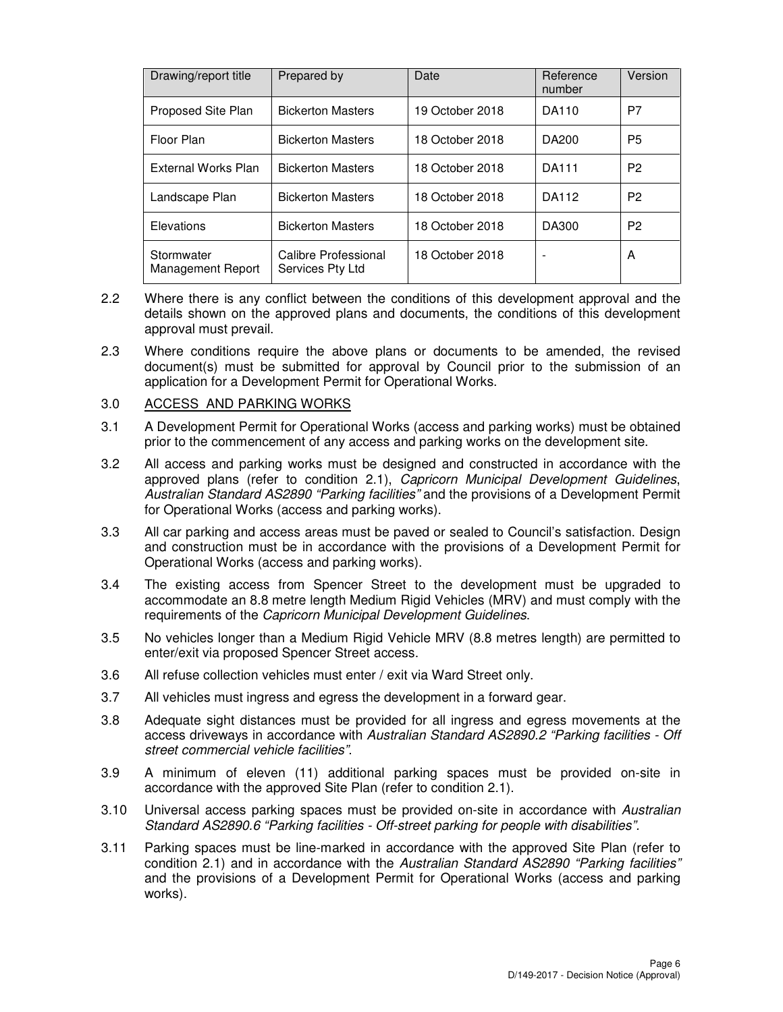| Drawing/report title            | Prepared by                              | Date            | Reference<br>number | Version        |
|---------------------------------|------------------------------------------|-----------------|---------------------|----------------|
| <b>Proposed Site Plan</b>       | <b>Bickerton Masters</b>                 | 19 October 2018 | DA110               | P7             |
| Floor Plan                      | <b>Bickerton Masters</b>                 | 18 October 2018 | DA200               | P5             |
| External Works Plan             | <b>Bickerton Masters</b>                 | 18 October 2018 | <b>DA111</b>        | P <sub>2</sub> |
| Landscape Plan                  | <b>Bickerton Masters</b>                 | 18 October 2018 | DA112               | P <sub>2</sub> |
| Elevations                      | <b>Bickerton Masters</b>                 | 18 October 2018 | DA300               | P <sub>2</sub> |
| Stormwater<br>Management Report | Calibre Professional<br>Services Pty Ltd | 18 October 2018 |                     | A              |

- 2.2 Where there is any conflict between the conditions of this development approval and the details shown on the approved plans and documents, the conditions of this development approval must prevail.
- 2.3 Where conditions require the above plans or documents to be amended, the revised document(s) must be submitted for approval by Council prior to the submission of an application for a Development Permit for Operational Works.

#### 3.0 ACCESS AND PARKING WORKS

- 3.1 A Development Permit for Operational Works (access and parking works) must be obtained prior to the commencement of any access and parking works on the development site.
- 3.2 All access and parking works must be designed and constructed in accordance with the approved plans (refer to condition 2.1), Capricorn Municipal Development Guidelines, Australian Standard AS2890 "Parking facilities" and the provisions of a Development Permit for Operational Works (access and parking works).
- 3.3 All car parking and access areas must be paved or sealed to Council's satisfaction. Design and construction must be in accordance with the provisions of a Development Permit for Operational Works (access and parking works).
- 3.4 The existing access from Spencer Street to the development must be upgraded to accommodate an 8.8 metre length Medium Rigid Vehicles (MRV) and must comply with the requirements of the Capricorn Municipal Development Guidelines.
- 3.5 No vehicles longer than a Medium Rigid Vehicle MRV (8.8 metres length) are permitted to enter/exit via proposed Spencer Street access.
- 3.6 All refuse collection vehicles must enter / exit via Ward Street only.
- 3.7 All vehicles must ingress and egress the development in a forward gear.
- 3.8 Adequate sight distances must be provided for all ingress and egress movements at the access driveways in accordance with Australian Standard AS2890.2 "Parking facilities - Off street commercial vehicle facilities".
- 3.9 A minimum of eleven (11) additional parking spaces must be provided on-site in accordance with the approved Site Plan (refer to condition 2.1).
- 3.10 Universal access parking spaces must be provided on-site in accordance with Australian Standard AS2890.6 "Parking facilities - Off-street parking for people with disabilities".
- 3.11 Parking spaces must be line-marked in accordance with the approved Site Plan (refer to condition 2.1) and in accordance with the Australian Standard AS2890 "Parking facilities" and the provisions of a Development Permit for Operational Works (access and parking works).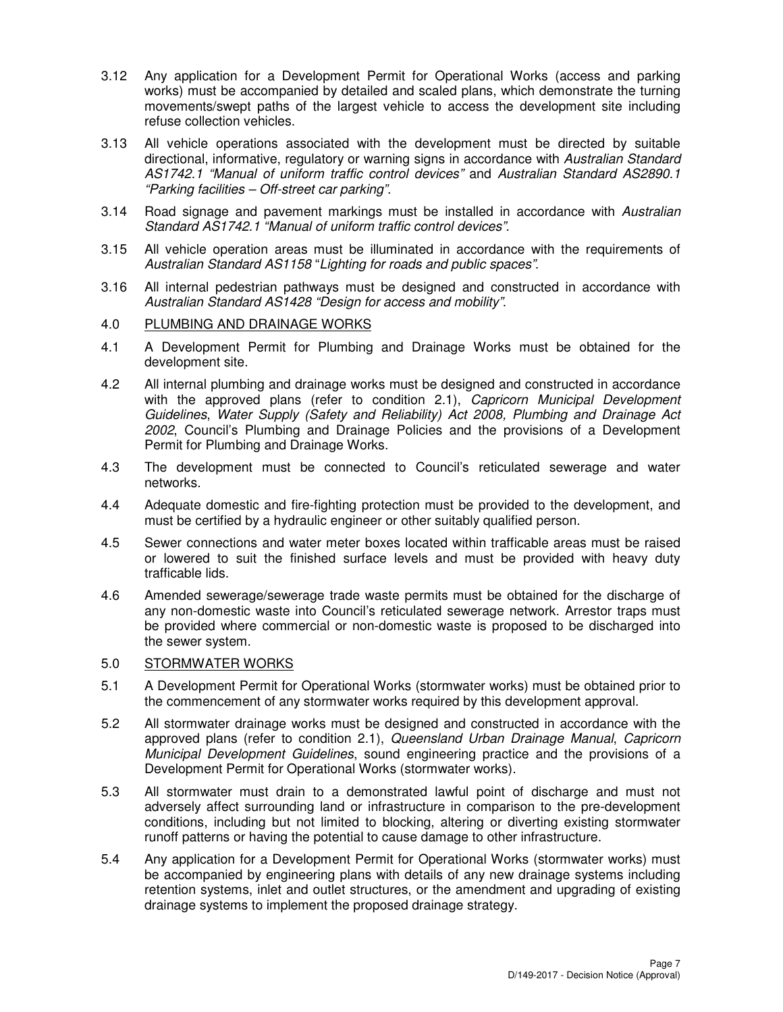- 3.12 Any application for a Development Permit for Operational Works (access and parking works) must be accompanied by detailed and scaled plans, which demonstrate the turning movements/swept paths of the largest vehicle to access the development site including refuse collection vehicles.
- 3.13 All vehicle operations associated with the development must be directed by suitable directional, informative, regulatory or warning signs in accordance with Australian Standard AS1742.1 "Manual of uniform traffic control devices" and Australian Standard AS2890.1 "Parking facilities – Off-street car parking".
- 3.14 Road signage and pavement markings must be installed in accordance with Australian Standard AS1742.1 "Manual of uniform traffic control devices".
- 3.15 All vehicle operation areas must be illuminated in accordance with the requirements of Australian Standard AS1158 "Lighting for roads and public spaces".
- 3.16 All internal pedestrian pathways must be designed and constructed in accordance with Australian Standard AS1428 "Design for access and mobility".

#### 4.0 PLUMBING AND DRAINAGE WORKS

- 4.1 A Development Permit for Plumbing and Drainage Works must be obtained for the development site.
- 4.2 All internal plumbing and drainage works must be designed and constructed in accordance with the approved plans (refer to condition 2.1), Capricorn Municipal Development Guidelines, Water Supply (Safety and Reliability) Act 2008, Plumbing and Drainage Act 2002, Council's Plumbing and Drainage Policies and the provisions of a Development Permit for Plumbing and Drainage Works.
- 4.3 The development must be connected to Council's reticulated sewerage and water networks.
- 4.4 Adequate domestic and fire-fighting protection must be provided to the development, and must be certified by a hydraulic engineer or other suitably qualified person.
- 4.5 Sewer connections and water meter boxes located within trafficable areas must be raised or lowered to suit the finished surface levels and must be provided with heavy duty trafficable lids.
- 4.6 Amended sewerage/sewerage trade waste permits must be obtained for the discharge of any non-domestic waste into Council's reticulated sewerage network. Arrestor traps must be provided where commercial or non-domestic waste is proposed to be discharged into the sewer system.

# 5.0 STORMWATER WORKS

- 5.1 A Development Permit for Operational Works (stormwater works) must be obtained prior to the commencement of any stormwater works required by this development approval.
- 5.2 All stormwater drainage works must be designed and constructed in accordance with the approved plans (refer to condition 2.1), Queensland Urban Drainage Manual, Capricorn Municipal Development Guidelines, sound engineering practice and the provisions of a Development Permit for Operational Works (stormwater works).
- 5.3 All stormwater must drain to a demonstrated lawful point of discharge and must not adversely affect surrounding land or infrastructure in comparison to the pre-development conditions, including but not limited to blocking, altering or diverting existing stormwater runoff patterns or having the potential to cause damage to other infrastructure.
- 5.4 Any application for a Development Permit for Operational Works (stormwater works) must be accompanied by engineering plans with details of any new drainage systems including retention systems, inlet and outlet structures, or the amendment and upgrading of existing drainage systems to implement the proposed drainage strategy.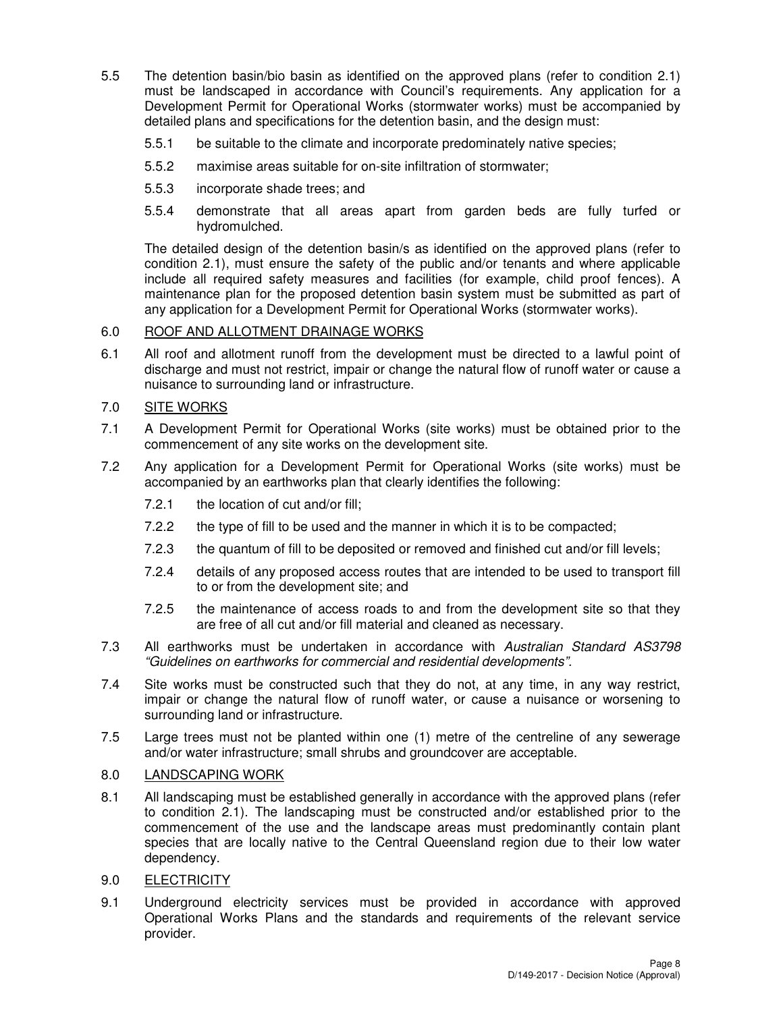- 5.5 The detention basin/bio basin as identified on the approved plans (refer to condition 2.1) must be landscaped in accordance with Council's requirements. Any application for a Development Permit for Operational Works (stormwater works) must be accompanied by detailed plans and specifications for the detention basin, and the design must:
	- 5.5.1 be suitable to the climate and incorporate predominately native species;
	- 5.5.2 maximise areas suitable for on-site infiltration of stormwater;
	- 5.5.3 incorporate shade trees; and
	- 5.5.4 demonstrate that all areas apart from garden beds are fully turfed or hydromulched.

The detailed design of the detention basin/s as identified on the approved plans (refer to condition 2.1), must ensure the safety of the public and/or tenants and where applicable include all required safety measures and facilities (for example, child proof fences). A maintenance plan for the proposed detention basin system must be submitted as part of any application for a Development Permit for Operational Works (stormwater works).

# 6.0 ROOF AND ALLOTMENT DRAINAGE WORKS

6.1 All roof and allotment runoff from the development must be directed to a lawful point of discharge and must not restrict, impair or change the natural flow of runoff water or cause a nuisance to surrounding land or infrastructure.

# 7.0 SITE WORKS

- 7.1 A Development Permit for Operational Works (site works) must be obtained prior to the commencement of any site works on the development site.
- 7.2 Any application for a Development Permit for Operational Works (site works) must be accompanied by an earthworks plan that clearly identifies the following:
	- 7.2.1 the location of cut and/or fill;
	- 7.2.2 the type of fill to be used and the manner in which it is to be compacted;
	- 7.2.3 the quantum of fill to be deposited or removed and finished cut and/or fill levels;
	- 7.2.4 details of any proposed access routes that are intended to be used to transport fill to or from the development site; and
	- 7.2.5 the maintenance of access roads to and from the development site so that they are free of all cut and/or fill material and cleaned as necessary.
- 7.3 All earthworks must be undertaken in accordance with Australian Standard AS3798 "Guidelines on earthworks for commercial and residential developments".
- 7.4 Site works must be constructed such that they do not, at any time, in any way restrict, impair or change the natural flow of runoff water, or cause a nuisance or worsening to surrounding land or infrastructure.
- 7.5 Large trees must not be planted within one (1) metre of the centreline of any sewerage and/or water infrastructure; small shrubs and groundcover are acceptable.

# 8.0 LANDSCAPING WORK

- 8.1 All landscaping must be established generally in accordance with the approved plans (refer to condition 2.1). The landscaping must be constructed and/or established prior to the commencement of the use and the landscape areas must predominantly contain plant species that are locally native to the Central Queensland region due to their low water dependency.
- 9.0 ELECTRICITY
- 9.1 Underground electricity services must be provided in accordance with approved Operational Works Plans and the standards and requirements of the relevant service provider.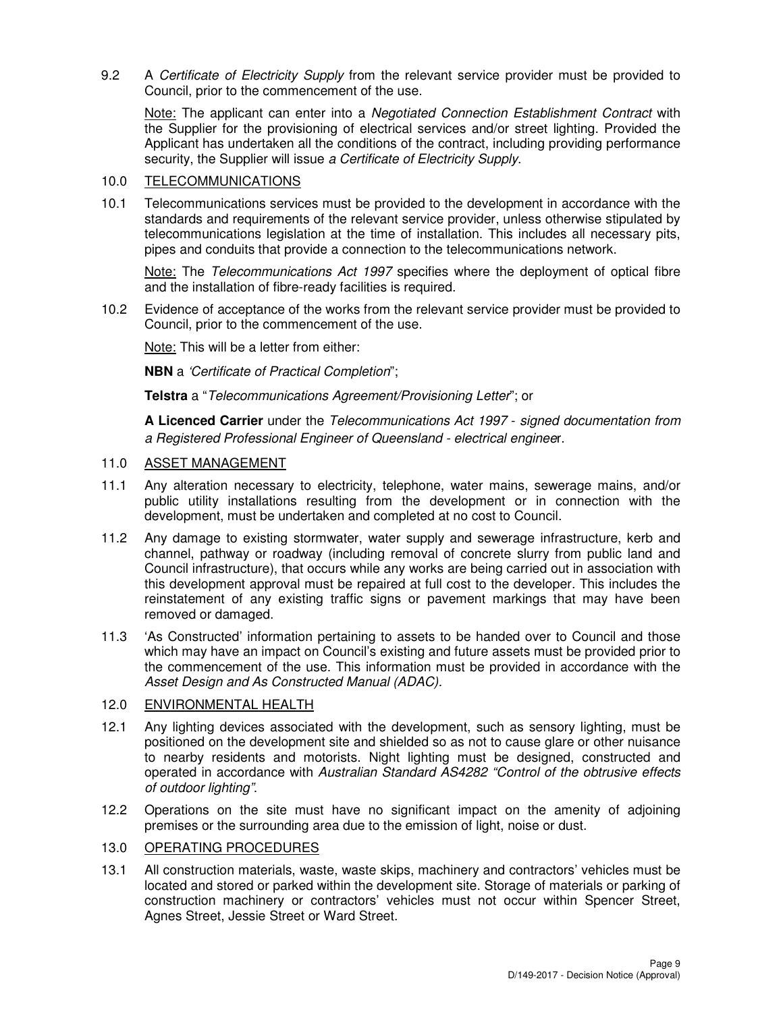9.2 A Certificate of Electricity Supply from the relevant service provider must be provided to Council, prior to the commencement of the use.

Note: The applicant can enter into a Negotiated Connection Establishment Contract with the Supplier for the provisioning of electrical services and/or street lighting. Provided the Applicant has undertaken all the conditions of the contract, including providing performance security, the Supplier will issue a Certificate of Electricity Supply.

### 10.0 TELECOMMUNICATIONS

10.1 Telecommunications services must be provided to the development in accordance with the standards and requirements of the relevant service provider, unless otherwise stipulated by telecommunications legislation at the time of installation. This includes all necessary pits, pipes and conduits that provide a connection to the telecommunications network.

Note: The Telecommunications Act 1997 specifies where the deployment of optical fibre and the installation of fibre-ready facilities is required.

10.2 Evidence of acceptance of the works from the relevant service provider must be provided to Council, prior to the commencement of the use.

Note: This will be a letter from either:

**NBN** a 'Certificate of Practical Completion";

**Telstra** a "Telecommunications Agreement/Provisioning Letter"; or

**A Licenced Carrier** under the Telecommunications Act 1997 - signed documentation from a Registered Professional Engineer of Queensland - electrical engineer.

# 11.0 ASSET MANAGEMENT

- 11.1 Any alteration necessary to electricity, telephone, water mains, sewerage mains, and/or public utility installations resulting from the development or in connection with the development, must be undertaken and completed at no cost to Council.
- 11.2 Any damage to existing stormwater, water supply and sewerage infrastructure, kerb and channel, pathway or roadway (including removal of concrete slurry from public land and Council infrastructure), that occurs while any works are being carried out in association with this development approval must be repaired at full cost to the developer. This includes the reinstatement of any existing traffic signs or pavement markings that may have been removed or damaged.
- 11.3 'As Constructed' information pertaining to assets to be handed over to Council and those which may have an impact on Council's existing and future assets must be provided prior to the commencement of the use. This information must be provided in accordance with the Asset Design and As Constructed Manual (ADAC).

# 12.0 ENVIRONMENTAL HEALTH

- 12.1 Any lighting devices associated with the development, such as sensory lighting, must be positioned on the development site and shielded so as not to cause glare or other nuisance to nearby residents and motorists. Night lighting must be designed, constructed and operated in accordance with Australian Standard AS4282 "Control of the obtrusive effects of outdoor lighting".
- 12.2 Operations on the site must have no significant impact on the amenity of adjoining premises or the surrounding area due to the emission of light, noise or dust.

# 13.0 OPERATING PROCEDURES

13.1 All construction materials, waste, waste skips, machinery and contractors' vehicles must be located and stored or parked within the development site. Storage of materials or parking of construction machinery or contractors' vehicles must not occur within Spencer Street, Agnes Street, Jessie Street or Ward Street.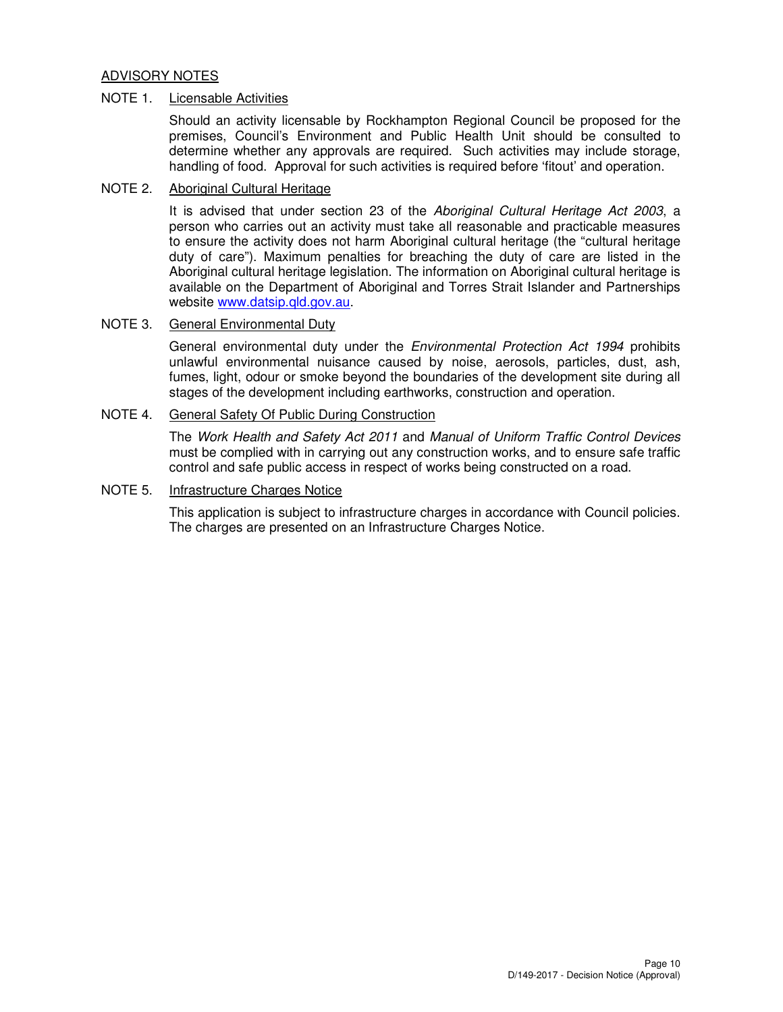# ADVISORY NOTES

### NOTE 1. Licensable Activities

Should an activity licensable by Rockhampton Regional Council be proposed for the premises, Council's Environment and Public Health Unit should be consulted to determine whether any approvals are required. Such activities may include storage, handling of food. Approval for such activities is required before 'fitout' and operation.

# NOTE 2. Aboriginal Cultural Heritage

It is advised that under section 23 of the Aboriginal Cultural Heritage Act 2003, a person who carries out an activity must take all reasonable and practicable measures to ensure the activity does not harm Aboriginal cultural heritage (the "cultural heritage duty of care"). Maximum penalties for breaching the duty of care are listed in the Aboriginal cultural heritage legislation. The information on Aboriginal cultural heritage is available on the Department of Aboriginal and Torres Strait Islander and Partnerships website www.datsip.qld.gov.au.

### NOTE 3. General Environmental Duty

General environmental duty under the Environmental Protection Act 1994 prohibits unlawful environmental nuisance caused by noise, aerosols, particles, dust, ash, fumes, light, odour or smoke beyond the boundaries of the development site during all stages of the development including earthworks, construction and operation.

# NOTE 4. General Safety Of Public During Construction

The Work Health and Safety Act 2011 and Manual of Uniform Traffic Control Devices must be complied with in carrying out any construction works, and to ensure safe traffic control and safe public access in respect of works being constructed on a road.

#### NOTE 5. Infrastructure Charges Notice

This application is subject to infrastructure charges in accordance with Council policies. The charges are presented on an Infrastructure Charges Notice.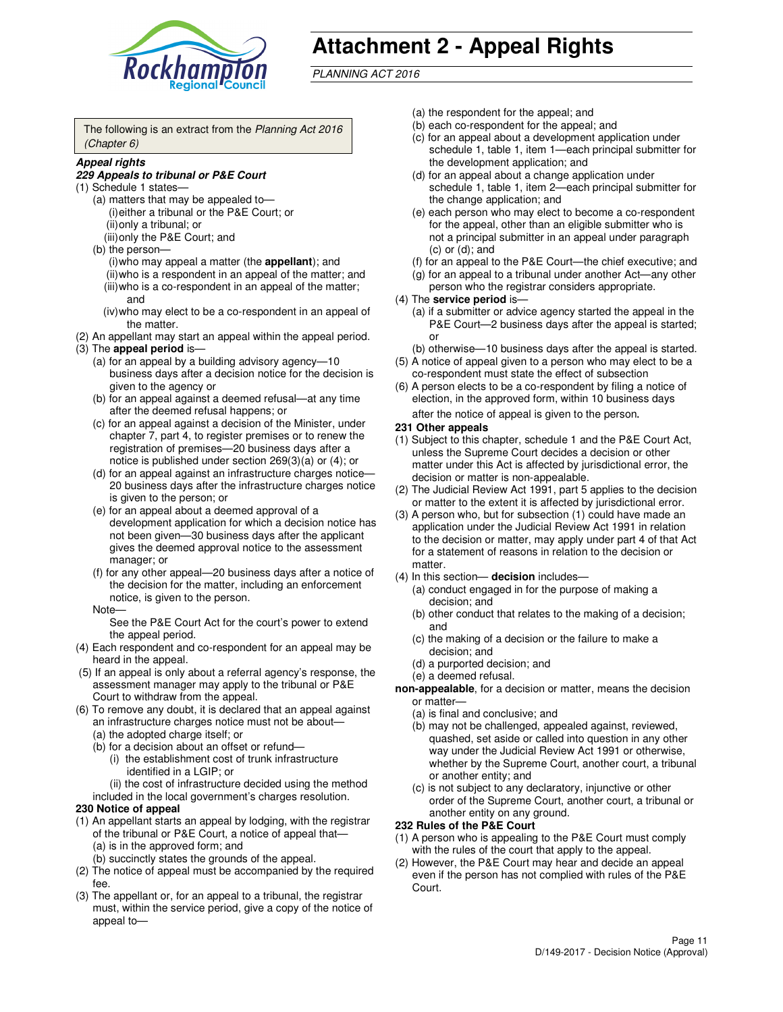

# **Attachment 2 - Appeal Rights**

PLANNING ACT 2016

The following is an extract from the Planning Act 2016 (Chapter 6)

#### **Appeal rights**

#### **229 Appeals to tribunal or P&E Court**

- (1) Schedule 1 states—
	- (a) matters that may be appealed to— (i) either a tribunal or the P&E Court; or (ii) only a tribunal; or (iii) only the P&E Court; and
	- (b) the person—
		- (i) who may appeal a matter (the **appellant**); and
		- (ii) who is a respondent in an appeal of the matter; and (iii) who is a co-respondent in an appeal of the matter; and
		- (iv) who may elect to be a co-respondent in an appeal of the matter.
- (2) An appellant may start an appeal within the appeal period.
- (3) The **appeal period** is—
	- (a) for an appeal by a building advisory agency—10 business days after a decision notice for the decision is given to the agency or
	- (b) for an appeal against a deemed refusal—at any time after the deemed refusal happens; or
	- (c) for an appeal against a decision of the Minister, under chapter 7, part 4, to register premises or to renew the registration of premises—20 business days after a notice is published under section 269(3)(a) or (4); or
	- (d) for an appeal against an infrastructure charges notice— 20 business days after the infrastructure charges notice is given to the person; or
	- (e) for an appeal about a deemed approval of a development application for which a decision notice has not been given—30 business days after the applicant gives the deemed approval notice to the assessment manager; or
	- (f) for any other appeal—20 business days after a notice of the decision for the matter, including an enforcement notice, is given to the person.
	- Note—

See the P&E Court Act for the court's power to extend the appeal period.

- (4) Each respondent and co-respondent for an appeal may be heard in the appeal.
- (5) If an appeal is only about a referral agency's response, the assessment manager may apply to the tribunal or P&E Court to withdraw from the appeal.
- (6) To remove any doubt, it is declared that an appeal against an infrastructure charges notice must not be about—
	- (a) the adopted charge itself; or
	- (b) for a decision about an offset or refund—
		- (i) the establishment cost of trunk infrastructure identified in a LGIP; or

(ii) the cost of infrastructure decided using the method

- included in the local government's charges resolution. **230 Notice of appeal**
- (1) An appellant starts an appeal by lodging, with the registrar of the tribunal or P&E Court, a notice of appeal that—
	- (a) is in the approved form; and
	- (b) succinctly states the grounds of the appeal.
- (2) The notice of appeal must be accompanied by the required fee.
- (3) The appellant or, for an appeal to a tribunal, the registrar must, within the service period, give a copy of the notice of appeal to—
- (a) the respondent for the appeal; and
- (b) each co-respondent for the appeal; and
- (c) for an appeal about a development application under schedule 1, table 1, item 1—each principal submitter for the development application; and
- (d) for an appeal about a change application under schedule 1, table 1, item 2—each principal submitter for the change application; and
- (e) each person who may elect to become a co-respondent for the appeal, other than an eligible submitter who is not a principal submitter in an appeal under paragraph  $(c)$  or  $(d)$ ; and
- (f) for an appeal to the P&E Court—the chief executive; and
- (g) for an appeal to a tribunal under another Act—any other person who the registrar considers appropriate.
- (4) The **service period** is—
	- (a) if a submitter or advice agency started the appeal in the P&E Court—2 business days after the appeal is started; or
	- (b) otherwise—10 business days after the appeal is started.
- (5) A notice of appeal given to a person who may elect to be a co-respondent must state the effect of subsection
- (6) A person elects to be a co-respondent by filing a notice of election, in the approved form, within 10 business days after the notice of appeal is given to the person*.*
- **231 Other appeals**
- (1) Subject to this chapter, schedule 1 and the P&E Court Act, unless the Supreme Court decides a decision or other matter under this Act is affected by jurisdictional error, the decision or matter is non-appealable.
- (2) The Judicial Review Act 1991, part 5 applies to the decision or matter to the extent it is affected by jurisdictional error.
- (3) A person who, but for subsection (1) could have made an application under the Judicial Review Act 1991 in relation to the decision or matter, may apply under part 4 of that Act for a statement of reasons in relation to the decision or matter.
- (4) In this section— **decision** includes—
	- (a) conduct engaged in for the purpose of making a decision; and
	- (b) other conduct that relates to the making of a decision; and
	- (c) the making of a decision or the failure to make a decision; and
	- (d) a purported decision; and
	- (e) a deemed refusal.

**non-appealable**, for a decision or matter, means the decision or matter—

- (a) is final and conclusive; and
- (b) may not be challenged, appealed against, reviewed, quashed, set aside or called into question in any other way under the Judicial Review Act 1991 or otherwise, whether by the Supreme Court, another court, a tribunal or another entity; and
- (c) is not subject to any declaratory, injunctive or other order of the Supreme Court, another court, a tribunal or another entity on any ground.

#### **232 Rules of the P&E Court**

- (1) A person who is appealing to the P&E Court must comply with the rules of the court that apply to the appeal.
- (2) However, the P&E Court may hear and decide an appeal even if the person has not complied with rules of the P&E Court.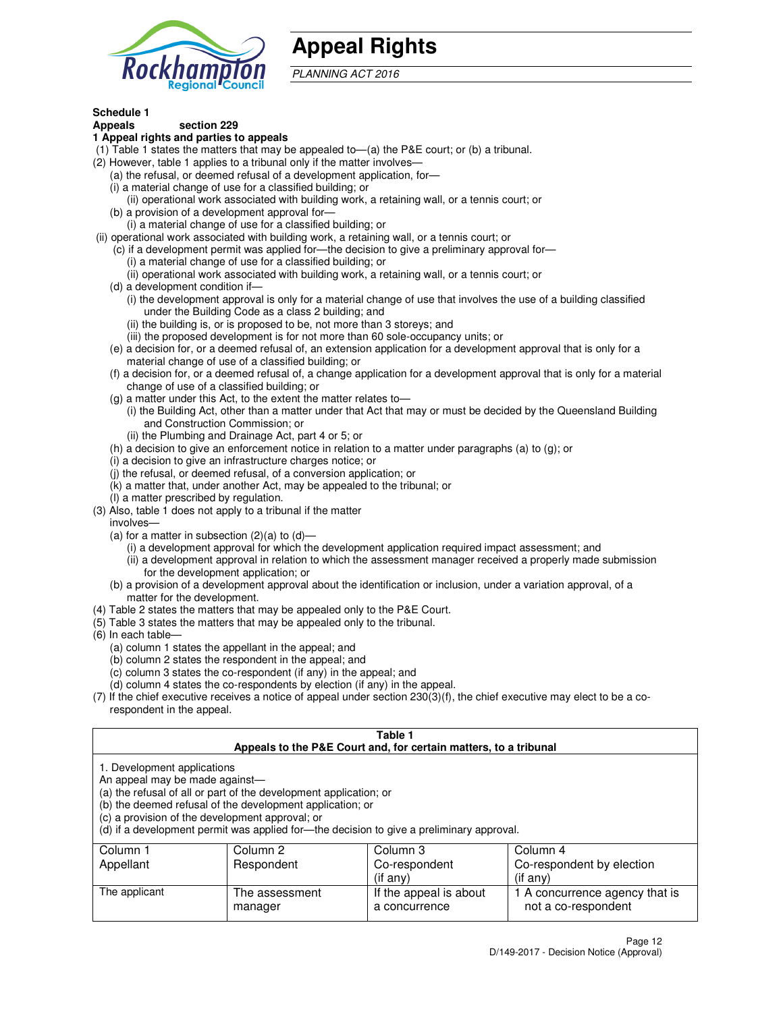

# **Appeal Rights**

PLANNING ACT 2016

# **Schedule 1**

# **Appeals section 229**

#### **1 Appeal rights and parties to appeals**

- (1) Table 1 states the matters that may be appealed to—(a) the P&E court; or (b) a tribunal.
- (2) However, table 1 applies to a tribunal only if the matter involves—
	- (a) the refusal, or deemed refusal of a development application, for—
	- (i) a material change of use for a classified building; or
	- (ii) operational work associated with building work, a retaining wall, or a tennis court; or
	- (b) a provision of a development approval for—
	- (i) a material change of use for a classified building; or
- (ii) operational work associated with building work, a retaining wall, or a tennis court; or
	- (c) if a development permit was applied for—the decision to give a preliminary approval for—
		- (i) a material change of use for a classified building; or
		- (ii) operational work associated with building work, a retaining wall, or a tennis court; or
	- (d) a development condition if—
		- (i) the development approval is only for a material change of use that involves the use of a building classified under the Building Code as a class 2 building; and
		- (ii) the building is, or is proposed to be, not more than 3 storeys; and
		- (iii) the proposed development is for not more than 60 sole-occupancy units; or
	- (e) a decision for, or a deemed refusal of, an extension application for a development approval that is only for a material change of use of a classified building; or
	- (f) a decision for, or a deemed refusal of, a change application for a development approval that is only for a material change of use of a classified building; or
	- (g) a matter under this Act, to the extent the matter relates to—
		- (i) the Building Act, other than a matter under that Act that may or must be decided by the Queensland Building and Construction Commission; or
		- (ii) the Plumbing and Drainage Act, part 4 or 5; or
	- (h) a decision to give an enforcement notice in relation to a matter under paragraphs (a) to (g); or
	- (i) a decision to give an infrastructure charges notice; or
	- (j) the refusal, or deemed refusal, of a conversion application; or
	- (k) a matter that, under another Act, may be appealed to the tribunal; or
	- (l) a matter prescribed by regulation.
- (3) Also, table 1 does not apply to a tribunal if the matter
	- involves—
	- (a) for a matter in subsection  $(2)(a)$  to  $(d)$ 
		- (i) a development approval for which the development application required impact assessment; and
		- (ii) a development approval in relation to which the assessment manager received a properly made submission for the development application; or
	- (b) a provision of a development approval about the identification or inclusion, under a variation approval, of a matter for the development.
- (4) Table 2 states the matters that may be appealed only to the P&E Court.
- (5) Table 3 states the matters that may be appealed only to the tribunal.
- (6) In each table—
	- (a) column 1 states the appellant in the appeal; and
	- (b) column 2 states the respondent in the appeal; and
	- (c) column 3 states the co-respondent (if any) in the appeal; and
	- (d) column 4 states the co-respondents by election (if any) in the appeal.
- $(7)$  If the chief executive receives a notice of appeal under section  $230(3)(f)$ , the chief executive may elect to be a corespondent in the appeal.

| Table 1<br>Appeals to the P&E Court and, for certain matters, to a tribunal                                      |                                                                                                                                |                                                                                          |                                                       |  |  |  |
|------------------------------------------------------------------------------------------------------------------|--------------------------------------------------------------------------------------------------------------------------------|------------------------------------------------------------------------------------------|-------------------------------------------------------|--|--|--|
| 1. Development applications<br>An appeal may be made against-<br>(c) a provision of the development approval; or | (a) the refusal of all or part of the development application; or<br>(b) the deemed refusal of the development application; or | (d) if a development permit was applied for—the decision to give a preliminary approval. |                                                       |  |  |  |
| Column 1<br>Appellant                                                                                            | Column 2<br>Column 4<br>Column 3<br>Co-respondent by election<br>Respondent<br>Co-respondent                                   |                                                                                          |                                                       |  |  |  |
| (if any)<br>$($ if any $)$                                                                                       |                                                                                                                                |                                                                                          |                                                       |  |  |  |
| The applicant                                                                                                    | The assessment<br>manager                                                                                                      | If the appeal is about<br>a concurrence                                                  | 1 A concurrence agency that is<br>not a co-respondent |  |  |  |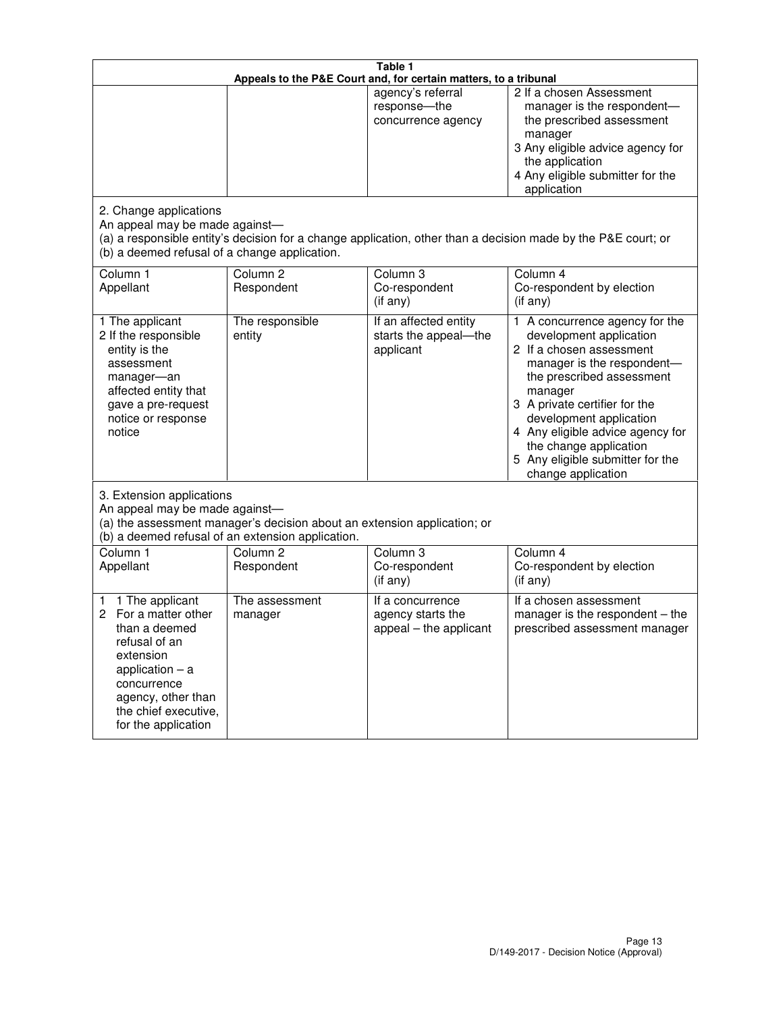| Table 1<br>Appeals to the P&E Court and, for certain matters, to a tribunal                                                                                                                             |                                   |                                                                 |                                                                                                                                                                                                                                                                                                                                                 |  |
|---------------------------------------------------------------------------------------------------------------------------------------------------------------------------------------------------------|-----------------------------------|-----------------------------------------------------------------|-------------------------------------------------------------------------------------------------------------------------------------------------------------------------------------------------------------------------------------------------------------------------------------------------------------------------------------------------|--|
|                                                                                                                                                                                                         |                                   | agency's referral<br>response-the<br>concurrence agency         | 2 If a chosen Assessment<br>manager is the respondent-<br>the prescribed assessment<br>manager<br>3 Any eligible advice agency for<br>the application<br>4 Any eligible submitter for the<br>application                                                                                                                                        |  |
| 2. Change applications<br>An appeal may be made against-<br>(b) a deemed refusal of a change application.                                                                                               |                                   |                                                                 | (a) a responsible entity's decision for a change application, other than a decision made by the P&E court; or                                                                                                                                                                                                                                   |  |
| Column 1<br>Appellant                                                                                                                                                                                   | Column <sub>2</sub><br>Respondent | Column <sub>3</sub><br>Co-respondent<br>(if any)                | Column 4<br>Co-respondent by election<br>(if any)                                                                                                                                                                                                                                                                                               |  |
| 1 The applicant<br>2 If the responsible<br>entity is the<br>assessment<br>manager-an<br>affected entity that<br>gave a pre-request<br>notice or response<br>notice                                      | The responsible<br>entity         | If an affected entity<br>starts the appeal-the<br>applicant     | 1 A concurrence agency for the<br>development application<br>2 If a chosen assessment<br>manager is the respondent-<br>the prescribed assessment<br>manager<br>3 A private certifier for the<br>development application<br>4 Any eligible advice agency for<br>the change application<br>5 Any eligible submitter for the<br>change application |  |
| 3. Extension applications<br>An appeal may be made against-<br>(a) the assessment manager's decision about an extension application; or<br>(b) a deemed refusal of an extension application.            |                                   |                                                                 |                                                                                                                                                                                                                                                                                                                                                 |  |
| Column 1<br>Appellant                                                                                                                                                                                   | Column <sub>2</sub><br>Respondent | Column 3<br>Co-respondent<br>(if any)                           | Column 4<br>Co-respondent by election<br>(if any)                                                                                                                                                                                                                                                                                               |  |
| 1 The applicant<br>1<br>For a matter other<br>2<br>than a deemed<br>refusal of an<br>extension<br>application $-$ a<br>concurrence<br>agency, other than<br>the chief executive,<br>for the application | The assessment<br>manager         | If a concurrence<br>agency starts the<br>appeal - the applicant | If a chosen assessment<br>manager is the respondent – the<br>prescribed assessment manager                                                                                                                                                                                                                                                      |  |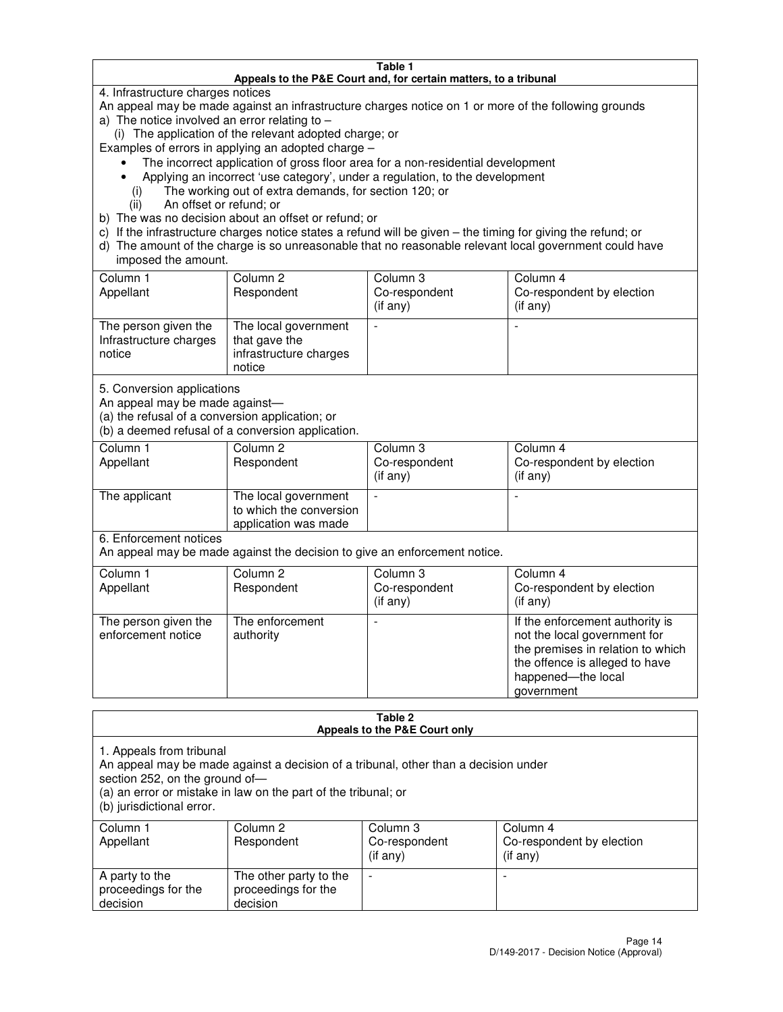#### **Table 1 Appeals to the P&E Court and, for certain matters, to a tribunal**

4. Infrastructure charges notices

An appeal may be made against an infrastructure charges notice on 1 or more of the following grounds

- a) The notice involved an error relating to
	- (i) The application of the relevant adopted charge; or
- Examples of errors in applying an adopted charge
	- The incorrect application of gross floor area for a non-residential development
	- Applying an incorrect 'use category', under a regulation, to the development
		- (i) The working out of extra demands, for section 120; or
		- (ii) An offset or refund; or
- b) The was no decision about an offset or refund; or
- c) If the infrastructure charges notice states a refund will be given the timing for giving the refund; or
- d) The amount of the charge is so unreasonable that no reasonable relevant local government could have imposed the amount.

| Column 1<br>Appellant                                    | Column 2<br>Respondent                                                    | Column 3<br>Co-respondent<br>$($ if any $)$ | Column 4<br>Co-respondent by election<br>$($ if any $)$ |
|----------------------------------------------------------|---------------------------------------------------------------------------|---------------------------------------------|---------------------------------------------------------|
| The person given the<br>Infrastructure charges<br>notice | The local government<br>that gave the<br>infrastructure charges<br>notice |                                             |                                                         |

5. Conversion applications

An appeal may be made against—

(a) the refusal of a conversion application; or

(b) a deemed refusal of a conversion application.

| Column 1<br>Appellant | Column 2<br>Respondent                                                  | Column 3<br>Co-respondent<br>$($ if any $)$ | Column 4<br>Co-respondent by election<br>$($ if any $)$ |
|-----------------------|-------------------------------------------------------------------------|---------------------------------------------|---------------------------------------------------------|
| The applicant         | The local government<br>to which the conversion<br>application was made |                                             |                                                         |

6. Enforcement notices

An appeal may be made against the decision to give an enforcement notice.

| Column 1<br>Appellant                      | Column 2<br>Respondent       | Column 3<br>Co-respondent<br>$($ if any $)$ | Column 4<br>Co-respondent by election<br>(if any)                                                                                                                          |
|--------------------------------------------|------------------------------|---------------------------------------------|----------------------------------------------------------------------------------------------------------------------------------------------------------------------------|
| The person given the<br>enforcement notice | The enforcement<br>authority |                                             | If the enforcement authority is<br>not the local government for<br>the premises in relation to which<br>the offence is alleged to have<br>happened-the local<br>government |

#### **Table 2 Appeals to the P&E Court only**

1. Appeals from tribunal

An appeal may be made against a decision of a tribunal, other than a decision under

section 252, on the ground of—

(a) an error or mistake in law on the part of the tribunal; or

(b) jurisdictional error.

| Column 1<br>Appellant                             | Column 2<br>Respondent                                    | Column 3<br>Co-respondent<br>(if any) | Column 4<br>Co-respondent by election<br>(if any) |
|---------------------------------------------------|-----------------------------------------------------------|---------------------------------------|---------------------------------------------------|
| A party to the<br>proceedings for the<br>decision | The other party to the<br>proceedings for the<br>decision | $\overline{\phantom{a}}$              |                                                   |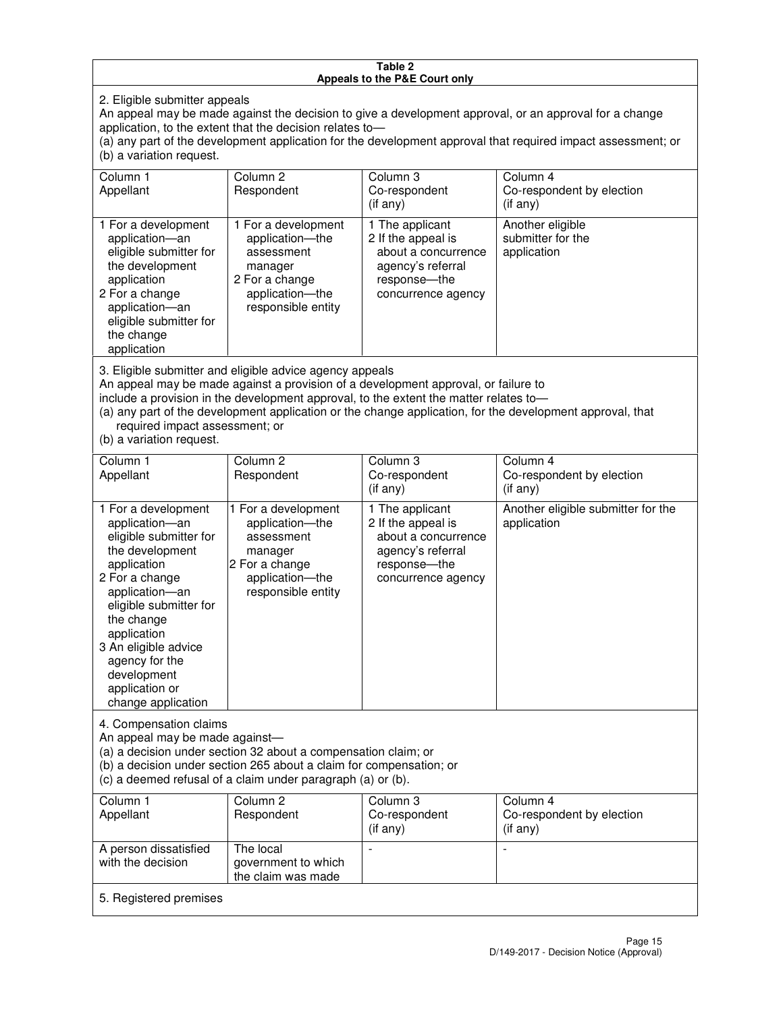#### **Table 2 Appeals to the P&E Court only**

2. Eligible submitter appeals

An appeal may be made against the decision to give a development approval, or an approval for a change application, to the extent that the decision relates to—

(a) any part of the development application for the development approval that required impact assessment; or (b) a variation request.

| Column 1<br>Appellant                                                                                                                                                                                                                                                                                                                                                                                              | Column <sub>2</sub><br>Respondent                                                                                          | Column 3<br>Co-respondent<br>(if any)                                                                                     | Column 4<br>Co-respondent by election<br>(i f any)   |
|--------------------------------------------------------------------------------------------------------------------------------------------------------------------------------------------------------------------------------------------------------------------------------------------------------------------------------------------------------------------------------------------------------------------|----------------------------------------------------------------------------------------------------------------------------|---------------------------------------------------------------------------------------------------------------------------|------------------------------------------------------|
| 1 For a development<br>application-an<br>eligible submitter for<br>the development<br>application<br>2 For a change<br>application-an<br>eligible submitter for<br>the change<br>application                                                                                                                                                                                                                       | 1 For a development<br>application-the<br>assessment<br>manager<br>2 For a change<br>application-the<br>responsible entity | 1 The applicant<br>2 If the appeal is<br>about a concurrence<br>agency's referral<br>response---the<br>concurrence agency | Another eligible<br>submitter for the<br>application |
| 3. Eligible submitter and eligible advice agency appeals<br>An appeal may be made against a provision of a development approval, or failure to<br>include a provision in the development approval, to the extent the matter relates to-<br>(a) any part of the development application or the change application, for the development approval, that<br>required impact assessment; or<br>(b) a variation request. |                                                                                                                            |                                                                                                                           |                                                      |
| Column <sub>1</sub>                                                                                                                                                                                                                                                                                                                                                                                                | Column <sub>2</sub>                                                                                                        | Column <sub>3</sub>                                                                                                       | Column 4                                             |
| Appellant                                                                                                                                                                                                                                                                                                                                                                                                          | Respondent                                                                                                                 | Co-respondent<br>(if any)                                                                                                 | Co-respondent by election<br>(i f any)               |
| 1 For a development<br>application-an<br>eligible submitter for<br>the development<br>application<br>2 For a change                                                                                                                                                                                                                                                                                                | 1 For a development<br>application-the<br>assessment<br>manager<br>2 For a change<br>application-the                       | 1 The applicant<br>2 If the appeal is<br>about a concurrence<br>agency's referral<br>response---the<br>concurrence agency | Another eligible submitter for the<br>application    |

An appeal may be made against—

application—an eligible submitter for

4. Compensation claims

the change application 3 An eligible advice agency for the development application or change application

(a) a decision under section 32 about a compensation claim; or

(b) a decision under section 265 about a claim for compensation; or

responsible entity

(c) a deemed refusal of a claim under paragraph (a) or (b).

| Column 1<br>Appellant                      | Column 2<br>Respondent                                 | Column 3<br>Co-respondent<br>$($ if any $)$ | Column 4<br>Co-respondent by election<br>(if any) |
|--------------------------------------------|--------------------------------------------------------|---------------------------------------------|---------------------------------------------------|
| A person dissatisfied<br>with the decision | The local<br>government to which<br>the claim was made |                                             |                                                   |
| 5. Registered premises                     |                                                        |                                             |                                                   |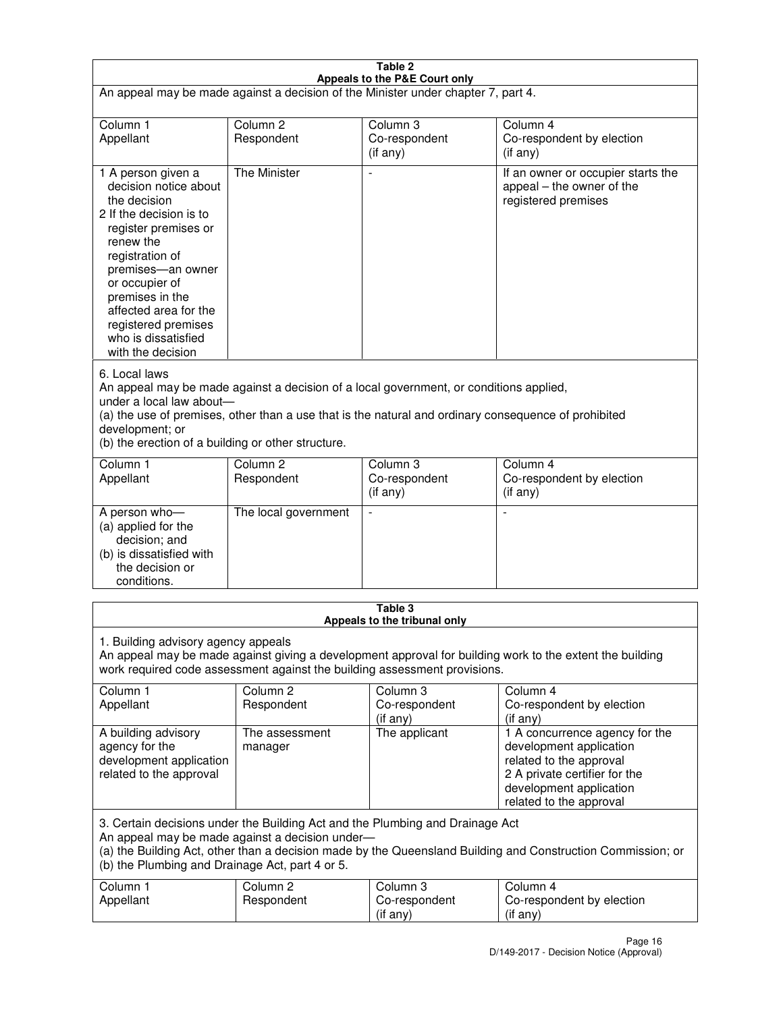| Table 2                                                                                                                                                                                                                                                                                                              |                                   |                                         |                                                                                                                                                                             |  |
|----------------------------------------------------------------------------------------------------------------------------------------------------------------------------------------------------------------------------------------------------------------------------------------------------------------------|-----------------------------------|-----------------------------------------|-----------------------------------------------------------------------------------------------------------------------------------------------------------------------------|--|
| Appeals to the P&E Court only<br>An appeal may be made against a decision of the Minister under chapter 7, part 4.                                                                                                                                                                                                   |                                   |                                         |                                                                                                                                                                             |  |
| Column 1                                                                                                                                                                                                                                                                                                             | Column <sub>2</sub>               | Column <sub>3</sub>                     | Column 4                                                                                                                                                                    |  |
| Appellant                                                                                                                                                                                                                                                                                                            | Respondent                        | Co-respondent<br>(if any)               | Co-respondent by election<br>(if any)                                                                                                                                       |  |
| 1 A person given a<br>decision notice about<br>the decision<br>2 If the decision is to<br>register premises or<br>renew the<br>registration of<br>premises-an owner<br>or occupier of<br>premises in the<br>affected area for the<br>registered premises<br>who is dissatisfied<br>with the decision                 | <b>The Minister</b>               | ÷,                                      | If an owner or occupier starts the<br>appeal – the owner of the<br>registered premises                                                                                      |  |
| 6. Local laws<br>An appeal may be made against a decision of a local government, or conditions applied,<br>under a local law about-<br>(a) the use of premises, other than a use that is the natural and ordinary consequence of prohibited<br>development; or<br>(b) the erection of a building or other structure. |                                   |                                         |                                                                                                                                                                             |  |
| Column 1<br>Appellant                                                                                                                                                                                                                                                                                                | Column 2<br>Respondent            | Column 3<br>Co-respondent<br>(if any)   | Column 4<br>Co-respondent by election<br>(if any)                                                                                                                           |  |
| A person who-<br>(a) applied for the<br>decision; and<br>(b) is dissatisfied with<br>the decision or<br>conditions.                                                                                                                                                                                                  | The local government              |                                         |                                                                                                                                                                             |  |
|                                                                                                                                                                                                                                                                                                                      |                                   | Table 3<br>Appeals to the tribunal only |                                                                                                                                                                             |  |
| 1. Building advisory agency appeals<br>An appeal may be made against giving a development approval for building work to the extent the building<br>work required code assessment against the building assessment provisions.                                                                                         |                                   |                                         |                                                                                                                                                                             |  |
| Column 1<br>Appellant                                                                                                                                                                                                                                                                                                | Column <sub>2</sub><br>Respondent | Column 3<br>Co-respondent<br>(if any)   | Column 4<br>Co-respondent by election<br>(if any)                                                                                                                           |  |
| A building advisory<br>agency for the<br>development application<br>related to the approval                                                                                                                                                                                                                          | The assessment<br>manager         | The applicant                           | 1 A concurrence agency for the<br>development application<br>related to the approval<br>2 A private certifier for the<br>development application<br>related to the approval |  |
| 3. Certain decisions under the Building Act and the Plumbing and Drainage Act<br>An appeal may be made against a decision under-<br>(a) the Building Act, other than a decision made by the Queensland Building and Construction Commission; or<br>(b) the Plumbing and Drainage Act, part 4 or 5.                   |                                   |                                         |                                                                                                                                                                             |  |
| Column 1<br>Appellant                                                                                                                                                                                                                                                                                                | Column <sub>2</sub><br>Respondent | Column 3<br>Co-respondent<br>(if any)   | Column 4<br>Co-respondent by election<br>(if any)                                                                                                                           |  |